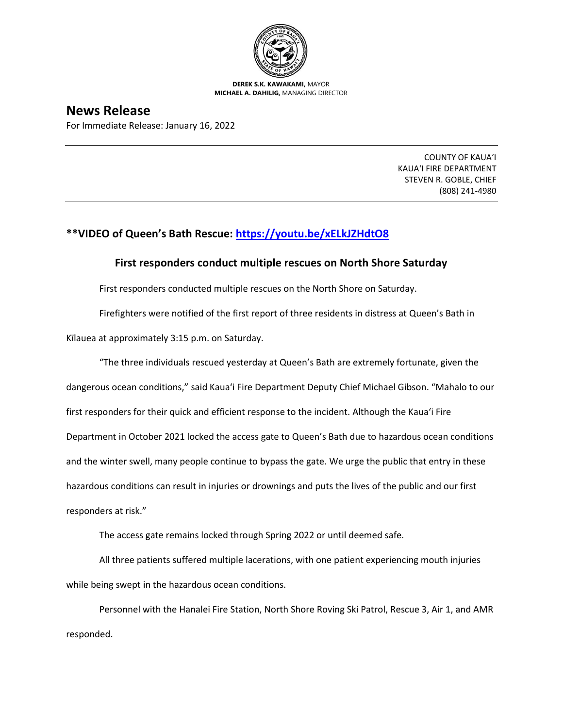

**DEREK S.K. KAWAKAMI,** MAYOR **MICHAEL A. DAHILIG,** MANAGING DIRECTOR

## **News Release**

For Immediate Release: January 16, 2022

COUNTY OF KAUA'I KAUA'I FIRE DEPARTMENT STEVEN R. GOBLE, CHIEF (808) 241-4980

## **\*\*VIDEO of Queen's Bath Rescue:<https://youtu.be/xELkJZHdtO8>**

## **First responders conduct multiple rescues on North Shore Saturday**

First responders conducted multiple rescues on the North Shore on Saturday.

Firefighters were notified of the first report of three residents in distress at Queen's Bath in

Kīlauea at approximately 3:15 p.m. on Saturday.

"The three individuals rescued yesterday at Queen's Bath are extremely fortunate, given the dangerous ocean conditions," said Kaua'i Fire Department Deputy Chief Michael Gibson. "Mahalo to our first responders for their quick and efficient response to the incident. Although the Kaua'i Fire Department in October 2021 locked the access gate to Queen's Bath due to hazardous ocean conditions and the winter swell, many people continue to bypass the gate. We urge the public that entry in these hazardous conditions can result in injuries or drownings and puts the lives of the public and our first responders at risk."

The access gate remains locked through Spring 2022 or until deemed safe.

All three patients suffered multiple lacerations, with one patient experiencing mouth injuries while being swept in the hazardous ocean conditions.

Personnel with the Hanalei Fire Station, North Shore Roving Ski Patrol, Rescue 3, Air 1, and AMR responded.